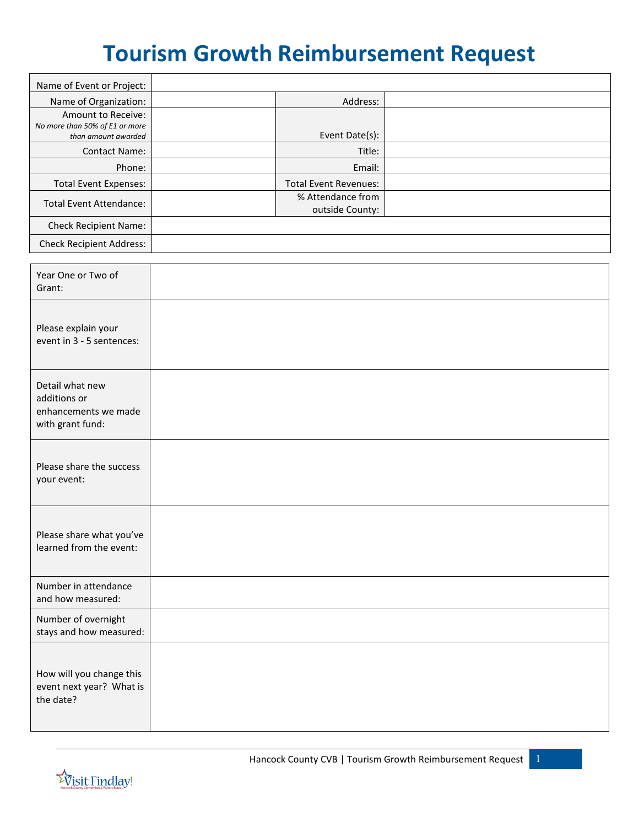# **Tourism Growth Reimbursement Request**

| Name of Event or Project:                                                   |                                      |  |
|-----------------------------------------------------------------------------|--------------------------------------|--|
| Name of Organization:                                                       | Address:                             |  |
| Amount to Receive:<br>No more than 50% of E1 or more<br>than amount awarded | Event Date(s):                       |  |
| <b>Contact Name:</b>                                                        | Title:                               |  |
| Phone:                                                                      | Email:                               |  |
| <b>Total Event Expenses:</b>                                                | <b>Total Event Revenues:</b>         |  |
| <b>Total Event Attendance:</b>                                              | % Attendance from<br>outside County: |  |
| Check Recipient Name:                                                       |                                      |  |
| <b>Check Recipient Address:</b>                                             |                                      |  |
| Year One or Two of<br>Grant:                                                |                                      |  |
| Please explain your<br>event in 3 - 5 sentences:                            |                                      |  |
| Detail what new<br>additions or<br>enhancements we made<br>with grant fund: |                                      |  |
| Please share the success<br>your event:                                     |                                      |  |
| Please share what you've<br>learned from the event:                         |                                      |  |
| Number in attendance<br>and how measured:                                   |                                      |  |
| Number of overnight<br>stays and how measured:                              |                                      |  |
| How will you change this<br>event next year? What is<br>the date?           |                                      |  |

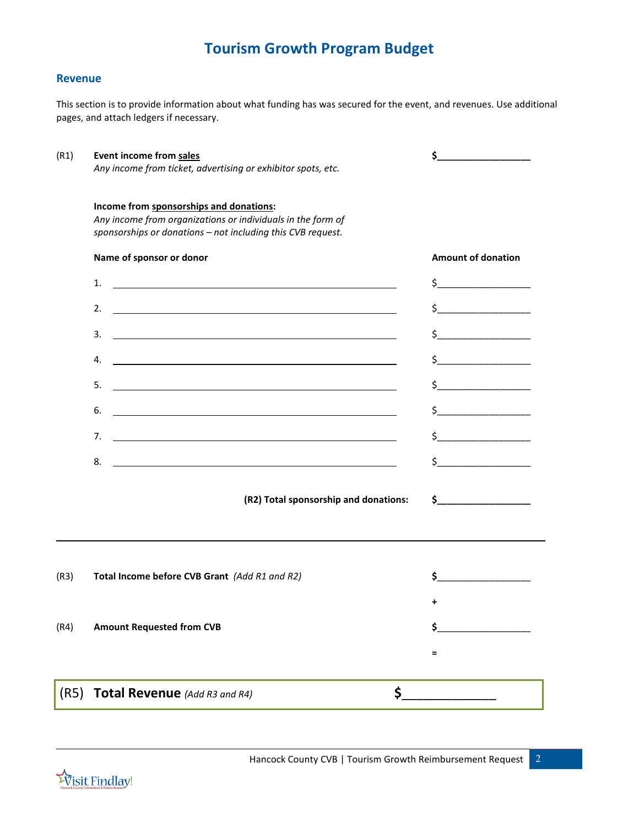# **Tourism Growth Program Budget**

### **Revenue**

This section is to provide information about what funding has was secured for the event, and revenues. Use additional pages, and attach ledgers if necessary.

(R1) **Event income from sales \$\_\_\_\_\_\_\_\_\_\_\_\_\_\_\_\_\_\_**

*Any income from ticket, advertising or exhibitor spots, etc.* 

| Name of sponsor or donor                      |                                                                                                                      | <b>Amount of donation</b>                                                                                                                                                                                                                                                                                                                                                                                                                                                                                                                                                                                                                                                                                                                     |
|-----------------------------------------------|----------------------------------------------------------------------------------------------------------------------|-----------------------------------------------------------------------------------------------------------------------------------------------------------------------------------------------------------------------------------------------------------------------------------------------------------------------------------------------------------------------------------------------------------------------------------------------------------------------------------------------------------------------------------------------------------------------------------------------------------------------------------------------------------------------------------------------------------------------------------------------|
| 1.                                            |                                                                                                                      | $\begin{array}{ccccccccccccc}\n\texttt{S} & \texttt{p} & \texttt{p} & \texttt{p} & \texttt{p} & \texttt{p} & \texttt{p} & \texttt{p} & \texttt{p} & \texttt{p} & \texttt{p} & \texttt{p} & \texttt{p} & \texttt{p} & \texttt{p} & \texttt{p} & \texttt{p} & \texttt{p} & \texttt{p} & \texttt{p} & \texttt{p} & \texttt{p} & \texttt{p} & \texttt{p} & \texttt{p} & \texttt{p} & \texttt{p} & \texttt{p} & \texttt{p} & \texttt{p}$                                                                                                                                                                                                                                                                                                           |
| 2.                                            |                                                                                                                      | $\begin{array}{c} \n \uparrow \quad \quad \quad \downarrow \quad \quad \quad \quad \uparrow \quad \quad \quad \quad \quad \downarrow \quad \quad \quad \downarrow \quad \quad \downarrow \quad \quad \downarrow \quad \quad \downarrow \quad \quad \downarrow \quad \quad \downarrow \quad \quad \downarrow \quad \quad \downarrow \quad \quad \downarrow \quad \quad \downarrow \quad \downarrow \quad \downarrow \quad \downarrow \quad \downarrow \quad \downarrow \quad \downarrow \quad \downarrow \quad \downarrow \quad \downarrow \quad \downarrow \quad \downarrow \quad \downarrow \quad \downarrow \quad \downarrow \quad \downarrow \quad \downarrow \quad \downarrow \quad \downarrow \quad \downarrow \quad \downarrow \quad \$ |
| 3.                                            |                                                                                                                      | $\frac{1}{2}$                                                                                                                                                                                                                                                                                                                                                                                                                                                                                                                                                                                                                                                                                                                                 |
| 4.                                            |                                                                                                                      | $\begin{array}{c} \n \uparrow \text{S} \quad \text{S} \quad \text{S} \quad \text{S} \quad \text{S} \quad \text{S} \quad \text{S} \quad \text{S} \quad \text{S} \quad \text{S} \quad \text{S} \quad \text{S} \quad \text{S} \quad \text{S} \quad \text{S} \quad \text{S} \quad \text{S} \quad \text{S} \quad \text{S} \quad \text{S} \quad \text{S} \quad \text{S} \quad \text{S} \quad \text{S} \quad \text{S} \quad \text{S} \quad \text{S} \quad \text{S} \quad \text{S} \quad \text{S}$                                                                                                                                                                                                                                                    |
| 5.                                            |                                                                                                                      | $\frac{1}{\sqrt{2}}$                                                                                                                                                                                                                                                                                                                                                                                                                                                                                                                                                                                                                                                                                                                          |
| 6.                                            |                                                                                                                      | $\uparrow$                                                                                                                                                                                                                                                                                                                                                                                                                                                                                                                                                                                                                                                                                                                                    |
| 7.                                            | <u> 1980 - Johann Barn, mars ann an t-Amhain Aonaich an t-Aonaich an t-Aonaich ann an t-Aonaich ann an t-Aonaich</u> | $\frac{1}{2}$                                                                                                                                                                                                                                                                                                                                                                                                                                                                                                                                                                                                                                                                                                                                 |
| 8.                                            |                                                                                                                      | $\frac{1}{2}$                                                                                                                                                                                                                                                                                                                                                                                                                                                                                                                                                                                                                                                                                                                                 |
|                                               | (R2) Total sponsorship and donations:                                                                                |                                                                                                                                                                                                                                                                                                                                                                                                                                                                                                                                                                                                                                                                                                                                               |
|                                               |                                                                                                                      |                                                                                                                                                                                                                                                                                                                                                                                                                                                                                                                                                                                                                                                                                                                                               |
| Total Income before CVB Grant (Add R1 and R2) |                                                                                                                      | \$                                                                                                                                                                                                                                                                                                                                                                                                                                                                                                                                                                                                                                                                                                                                            |
|                                               |                                                                                                                      |                                                                                                                                                                                                                                                                                                                                                                                                                                                                                                                                                                                                                                                                                                                                               |

- (R4) **Amount Requested from CVB \$**\_\_\_\_\_\_\_\_\_\_\_\_\_\_\_\_\_\_
- (R5) **Total Revenue** *(Add R3 and R4)* **\$**\_\_\_\_\_\_\_\_\_\_\_\_\_



**=**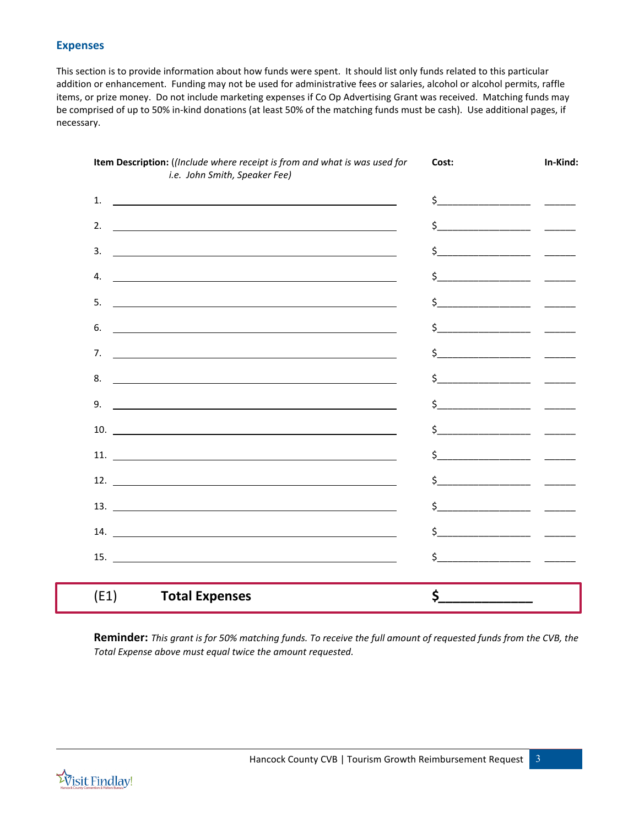# **Expenses**

This section is to provide information about how funds were spent. It should list only funds related to this particular addition or enhancement. Funding may not be used for administrative fees or salaries, alcohol or alcohol permits, raffle items, or prize money. Do not include marketing expenses if Co Op Advertising Grant was received. Matching funds may be comprised of up to 50% in-kind donations (at least 50% of the matching funds must be cash). Use additional pages, if necessary.

| Item Description: ((Include where receipt is from and what is was used for<br>i.e. John Smith, Speaker Fee)                 | Cost:                                                                                                                                                                                                                                                                                                               | In-Kind: |
|-----------------------------------------------------------------------------------------------------------------------------|---------------------------------------------------------------------------------------------------------------------------------------------------------------------------------------------------------------------------------------------------------------------------------------------------------------------|----------|
| <u> 1989 - Andrea Stadt Britain, amerikansk politik (</u><br>1.                                                             | $\frac{1}{2}$ $\frac{1}{2}$ $\frac{1}{2}$ $\frac{1}{2}$ $\frac{1}{2}$ $\frac{1}{2}$ $\frac{1}{2}$ $\frac{1}{2}$ $\frac{1}{2}$ $\frac{1}{2}$ $\frac{1}{2}$ $\frac{1}{2}$ $\frac{1}{2}$ $\frac{1}{2}$ $\frac{1}{2}$ $\frac{1}{2}$ $\frac{1}{2}$ $\frac{1}{2}$ $\frac{1}{2}$ $\frac{1}{2}$ $\frac{1}{2}$ $\frac{1}{2}$ |          |
| 2.                                                                                                                          | $\frac{1}{2}$ , and the contract of the contract of the contract of the contract of the contract of the contract of the contract of the contract of the contract of the contract of the contract of the contract of the contract                                                                                    |          |
| 3.<br><u> 1989 - Johann Stoff, deutscher Stoff, der Stoff, der Stoff, der Stoff, der Stoff, der Stoff, der Stoff, der S</u> | $\frac{1}{2}$ $\frac{1}{2}$ $\frac{1}{2}$ $\frac{1}{2}$ $\frac{1}{2}$ $\frac{1}{2}$ $\frac{1}{2}$ $\frac{1}{2}$ $\frac{1}{2}$ $\frac{1}{2}$ $\frac{1}{2}$ $\frac{1}{2}$ $\frac{1}{2}$ $\frac{1}{2}$ $\frac{1}{2}$ $\frac{1}{2}$ $\frac{1}{2}$ $\frac{1}{2}$ $\frac{1}{2}$ $\frac{1}{2}$ $\frac{1}{2}$ $\frac{1}{2}$ |          |
| 4.<br><u> 1990 - John Harry Harry Harry Harry Harry Harry Harry Harry Harry Harry Harry Harry Harry Harry Harry Harry H</u> | $\sim$ $\sim$                                                                                                                                                                                                                                                                                                       |          |
| 5.                                                                                                                          | $\frac{1}{2}$                                                                                                                                                                                                                                                                                                       |          |
| 6.                                                                                                                          | $\frac{1}{2}$ $\frac{1}{2}$ $\frac{1}{2}$ $\frac{1}{2}$ $\frac{1}{2}$ $\frac{1}{2}$ $\frac{1}{2}$ $\frac{1}{2}$ $\frac{1}{2}$ $\frac{1}{2}$ $\frac{1}{2}$ $\frac{1}{2}$ $\frac{1}{2}$ $\frac{1}{2}$ $\frac{1}{2}$ $\frac{1}{2}$ $\frac{1}{2}$ $\frac{1}{2}$ $\frac{1}{2}$ $\frac{1}{2}$ $\frac{1}{2}$ $\frac{1}{2}$ |          |
| 7.<br><u> 1989 - Johann Barbara, martin amerikan basar dan basa dan basa dan basa dan basa dan basa dan basa dan basa</u>   | $\begin{array}{ccccccccccccc} \xi & \text{---} & \text{---} & \text{---} & \text{---} & \end{array}$                                                                                                                                                                                                                |          |
| 8.<br><u> 1989 - Andrea Stadt Britain, amerikansk politiker (</u>                                                           |                                                                                                                                                                                                                                                                                                                     |          |
| 9.                                                                                                                          |                                                                                                                                                                                                                                                                                                                     |          |
| $10.$ $\qquad \qquad$                                                                                                       | $\ddot{\text{S}}$                                                                                                                                                                                                                                                                                                   |          |
|                                                                                                                             | $\frac{1}{2}$                                                                                                                                                                                                                                                                                                       |          |
| 12.                                                                                                                         | \$                                                                                                                                                                                                                                                                                                                  |          |
| $13. \_$                                                                                                                    | $\frac{1}{2}$ $\frac{1}{2}$ $\frac{1}{2}$ $\frac{1}{2}$ $\frac{1}{2}$ $\frac{1}{2}$ $\frac{1}{2}$ $\frac{1}{2}$ $\frac{1}{2}$ $\frac{1}{2}$ $\frac{1}{2}$ $\frac{1}{2}$ $\frac{1}{2}$ $\frac{1}{2}$ $\frac{1}{2}$ $\frac{1}{2}$ $\frac{1}{2}$ $\frac{1}{2}$ $\frac{1}{2}$ $\frac{1}{2}$ $\frac{1}{2}$ $\frac{1}{2}$ |          |
|                                                                                                                             | $\begin{array}{ccccccccccccc} \xi & \text{---} & \text{---} & \text{---} & \text{---} & \end{array}$                                                                                                                                                                                                                |          |
|                                                                                                                             | $\begin{array}{cccccccccc} \xi & \text{---} & \text{---} & \text{---} & \text{---} & \end{array}$                                                                                                                                                                                                                   |          |
| <b>Total Expenses</b><br>(E1)                                                                                               | $\mathsf{\$}$                                                                                                                                                                                                                                                                                                       |          |

**Reminder:** *This grant is for 50% matching funds. To receive the full amount of requested funds from the CVB, the Total Expense above must equal twice the amount requested.*